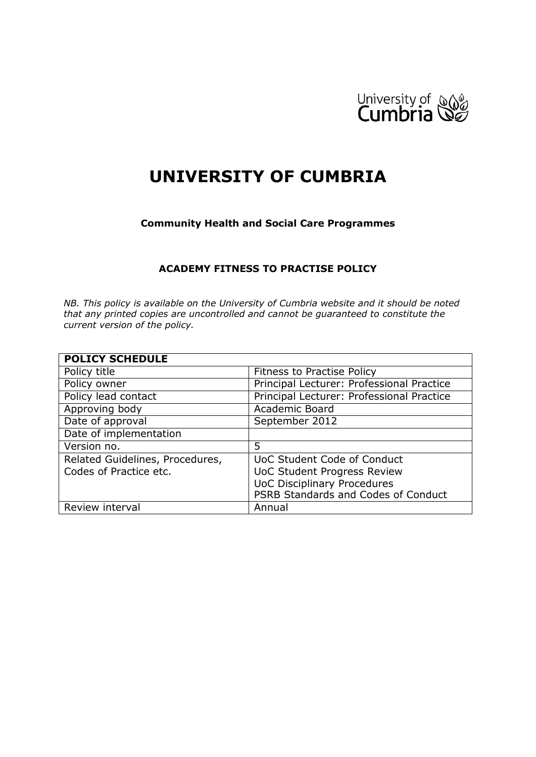

# **UNIVERSITY OF CUMBRIA**

#### **Community Health and Social Care Programmes**

#### **ACADEMY FITNESS TO PRACTISE POLICY**

*NB. This policy is available on the University of Cumbria website and it should be noted that any printed copies are uncontrolled and cannot be guaranteed to constitute the current version of the policy.*

| <b>POLICY SCHEDULE</b>          |                                           |
|---------------------------------|-------------------------------------------|
| Policy title                    | <b>Fitness to Practise Policy</b>         |
| Policy owner                    | Principal Lecturer: Professional Practice |
| Policy lead contact             | Principal Lecturer: Professional Practice |
| Approving body                  | Academic Board                            |
| Date of approval                | September 2012                            |
| Date of implementation          |                                           |
| Version no.                     | 5                                         |
| Related Guidelines, Procedures, | UoC Student Code of Conduct               |
| Codes of Practice etc.          | <b>UoC Student Progress Review</b>        |
|                                 | <b>UoC Disciplinary Procedures</b>        |
|                                 | PSRB Standards and Codes of Conduct       |
| Review interval                 | Annual                                    |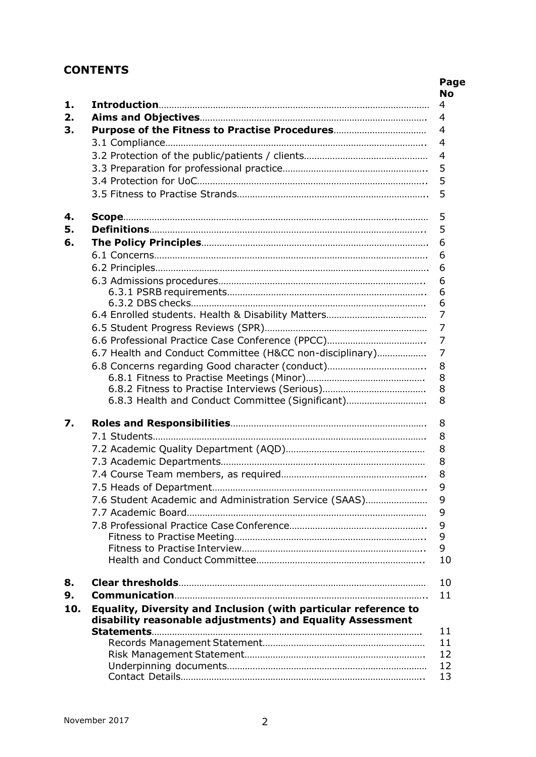# **CONTENTS**

| 6.7 Health and Conduct Committee (H&CC non-disciplinary)        |
|-----------------------------------------------------------------|
|                                                                 |
|                                                                 |
|                                                                 |
| 6.8.3 Health and Conduct Committee (Significant)                |
|                                                                 |
|                                                                 |
|                                                                 |
|                                                                 |
|                                                                 |
|                                                                 |
| 7.6 Student Academic and Administration Service (SAAS)          |
|                                                                 |
|                                                                 |
|                                                                 |
|                                                                 |
|                                                                 |
|                                                                 |
|                                                                 |
|                                                                 |
| Equality, Diversity and Inclusion (with particular reference to |
| disability reasonable adjustments) and Equality Assessment      |
|                                                                 |
|                                                                 |
|                                                                 |
|                                                                 |
|                                                                 |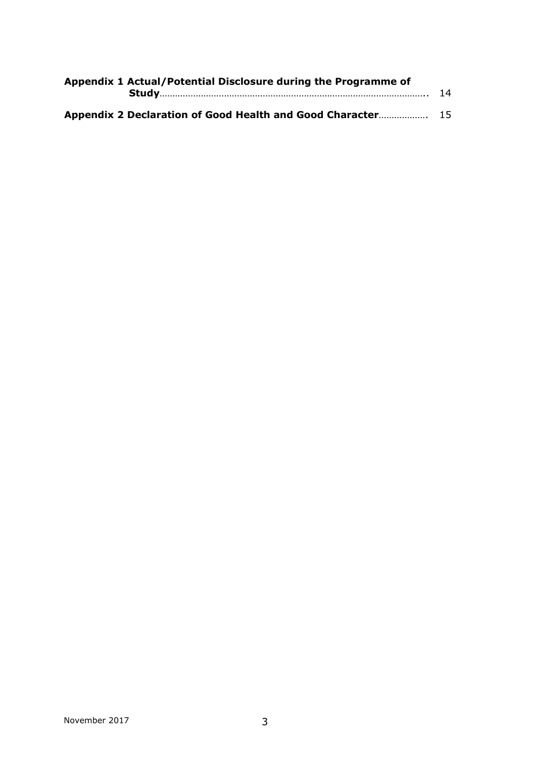| Appendix 1 Actual/Potential Disclosure during the Programme of |  |
|----------------------------------------------------------------|--|
| Appendix 2 Declaration of Good Health and Good Character 15    |  |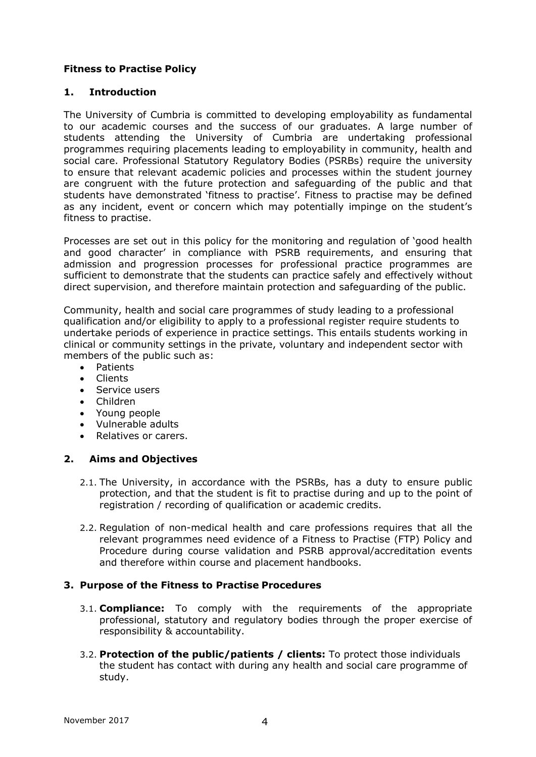# **Fitness to Practise Policy**

#### **1. Introduction**

The University of Cumbria is committed to developing employability as fundamental to our academic courses and the success of our graduates. A large number of students attending the University of Cumbria are undertaking professional programmes requiring placements leading to employability in community, health and social care. Professional Statutory Regulatory Bodies (PSRBs) require the university to ensure that relevant academic policies and processes within the student journey are congruent with the future protection and safeguarding of the public and that students have demonstrated 'fitness to practise'. Fitness to practise may be defined as any incident, event or concern which may potentially impinge on the student's fitness to practise.

Processes are set out in this policy for the monitoring and regulation of 'good health and good character' in compliance with PSRB requirements, and ensuring that admission and progression processes for professional practice programmes are sufficient to demonstrate that the students can practice safely and effectively without direct supervision, and therefore maintain protection and safeguarding of the public.

Community, health and social care programmes of study leading to a professional qualification and/or eligibility to apply to a professional register require students to undertake periods of experience in practice settings. This entails students working in clinical or community settings in the private, voluntary and independent sector with members of the public such as:

- Patients
- Clients
- Service users
- Children
- Young people
- Vulnerable adults
- Relatives or carers.

# **2. Aims and Objectives**

- 2.1. The University, in accordance with the PSRBs, has a duty to ensure public protection, and that the student is fit to practise during and up to the point of registration / recording of qualification or academic credits.
- 2.2. Regulation of non-medical health and care professions requires that all the relevant programmes need evidence of a Fitness to Practise (FTP) Policy and Procedure during course validation and PSRB approval/accreditation events and therefore within course and placement handbooks.

# **3. Purpose of the Fitness to Practise Procedures**

- 3.1. **Compliance:** To comply with the requirements of the appropriate professional, statutory and regulatory bodies through the proper exercise of responsibility & accountability.
- 3.2. **Protection of the public/patients / clients:** To protect those individuals the student has contact with during any health and social care programme of study.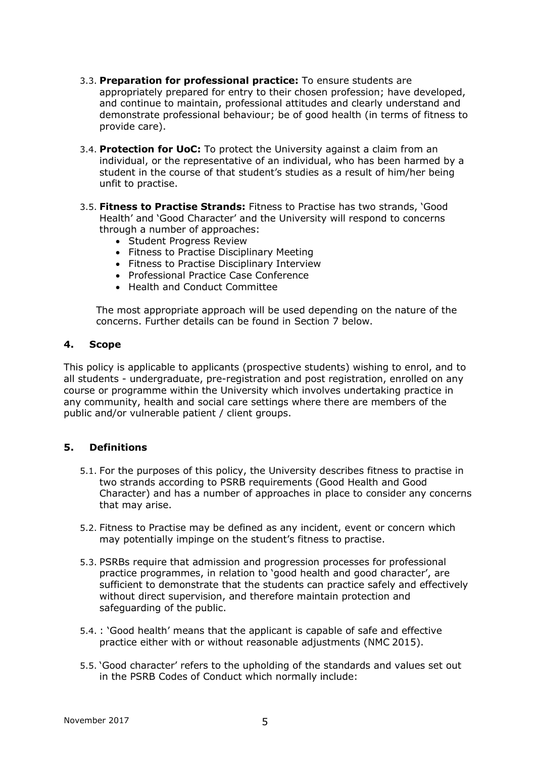- 3.3. **Preparation for professional practice:** To ensure students are appropriately prepared for entry to their chosen profession; have developed, and continue to maintain, professional attitudes and clearly understand and demonstrate professional behaviour; be of good health (in terms of fitness to provide care).
- 3.4. **Protection for UoC:** To protect the University against a claim from an individual, or the representative of an individual, who has been harmed by a student in the course of that student's studies as a result of him/her being unfit to practise.
- 3.5. **Fitness to Practise Strands:** Fitness to Practise has two strands, 'Good Health' and 'Good Character' and the University will respond to concerns through a number of approaches:
	- Student Progress Review
	- Fitness to Practise Disciplinary Meeting
	- Fitness to Practise Disciplinary Interview
	- Professional Practice Case Conference
	- Health and Conduct Committee

The most appropriate approach will be used depending on the nature of the concerns. Further details can be found in Section 7 below.

#### **4. Scope**

This policy is applicable to applicants (prospective students) wishing to enrol, and to all students - undergraduate, pre-registration and post registration, enrolled on any course or programme within the University which involves undertaking practice in any community, health and social care settings where there are members of the public and/or vulnerable patient / client groups.

# **5. Definitions**

- 5.1. For the purposes of this policy, the University describes fitness to practise in two strands according to PSRB requirements (Good Health and Good Character) and has a number of approaches in place to consider any concerns that may arise.
- 5.2. Fitness to Practise may be defined as any incident, event or concern which may potentially impinge on the student's fitness to practise.
- 5.3. PSRBs require that admission and progression processes for professional practice programmes, in relation to 'good health and good character', are sufficient to demonstrate that the students can practice safely and effectively without direct supervision, and therefore maintain protection and safeguarding of the public.
- 5.4. : 'Good health' means that the applicant is capable of safe and effective practice either with or without reasonable adjustments (NMC 2015).
- 5.5. 'Good character' refers to the upholding of the standards and values set out in the PSRB Codes of Conduct which normally include: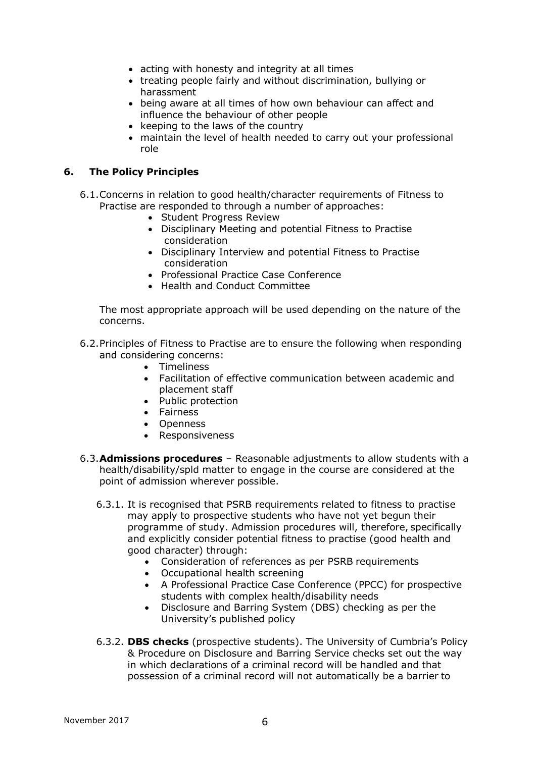- acting with honesty and integrity at all times
- treating people fairly and without discrimination, bullying or harassment
- being aware at all times of how own behaviour can affect and influence the behaviour of other people
- keeping to the laws of the country
- maintain the level of health needed to carry out your professional role

### **6. The Policy Principles**

- 6.1.Concerns in relation to good health/character requirements of Fitness to Practise are responded to through a number of approaches:
	- Student Progress Review
	- Disciplinary Meeting and potential Fitness to Practise consideration
	- Disciplinary Interview and potential Fitness to Practise consideration
	- Professional Practice Case Conference
	- Health and Conduct Committee

The most appropriate approach will be used depending on the nature of the concerns.

- 6.2.Principles of Fitness to Practise are to ensure the following when responding and considering concerns:
	- Timeliness
	- Facilitation of effective communication between academic and placement staff
	- Public protection
	- Fairness
	- Openness
	- Responsiveness
- 6.3.**Admissions procedures**  Reasonable adjustments to allow students with a health/disability/spld matter to engage in the course are considered at the point of admission wherever possible.
	- 6.3.1. It is recognised that PSRB requirements related to fitness to practise may apply to prospective students who have not yet begun their programme of study. Admission procedures will, therefore, specifically and explicitly consider potential fitness to practise (good health and good character) through:
		- Consideration of references as per PSRB requirements
		- Occupational health screening
		- A Professional Practice Case Conference (PPCC) for prospective students with complex health/disability needs
		- Disclosure and Barring System (DBS) checking as per the University's published policy
	- 6.3.2. **DBS checks** (prospective students). The University of Cumbria's Policy & Procedure on Disclosure and Barring Service checks set out the way in which declarations of a criminal record will be handled and that possession of a criminal record will not automatically be a barrier to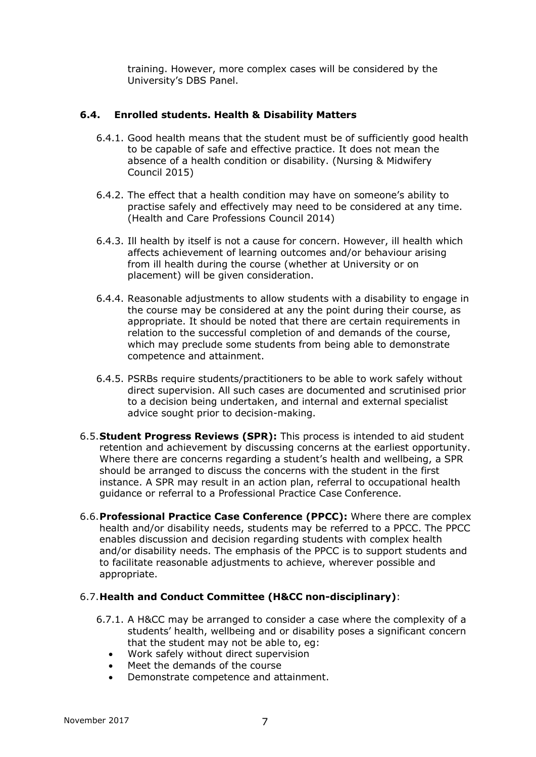training. However, more complex cases will be considered by the University's DBS Panel.

#### **6.4. Enrolled students. Health & Disability Matters**

- 6.4.1. Good health means that the student must be of sufficiently good health to be capable of safe and effective practice. It does not mean the absence of a health condition or disability. (Nursing & Midwifery Council 2015)
- 6.4.2. The effect that a health condition may have on someone's ability to practise safely and effectively may need to be considered at any time. (Health and Care Professions Council 2014)
- 6.4.3. Ill health by itself is not a cause for concern. However, ill health which affects achievement of learning outcomes and/or behaviour arising from ill health during the course (whether at University or on placement) will be given consideration.
- 6.4.4. Reasonable adjustments to allow students with a disability to engage in the course may be considered at any the point during their course, as appropriate. It should be noted that there are certain requirements in relation to the successful completion of and demands of the course, which may preclude some students from being able to demonstrate competence and attainment.
- 6.4.5. PSRBs require students/practitioners to be able to work safely without direct supervision. All such cases are documented and scrutinised prior to a decision being undertaken, and internal and external specialist advice sought prior to decision-making.
- 6.5.**Student Progress Reviews (SPR):** This process is intended to aid student retention and achievement by discussing concerns at the earliest opportunity. Where there are concerns regarding a student's health and wellbeing, a SPR should be arranged to discuss the concerns with the student in the first instance. A SPR may result in an action plan, referral to occupational health guidance or referral to a Professional Practice Case Conference.
- 6.6.**Professional Practice Case Conference (PPCC):** Where there are complex health and/or disability needs, students may be referred to a PPCC. The PPCC enables discussion and decision regarding students with complex health and/or disability needs. The emphasis of the PPCC is to support students and to facilitate reasonable adjustments to achieve, wherever possible and appropriate.

#### 6.7.**Health and Conduct Committee (H&CC non-disciplinary)**:

- 6.7.1. A H&CC may be arranged to consider a case where the complexity of a students' health, wellbeing and or disability poses a significant concern that the student may not be able to, eg:
	- Work safely without direct supervision
	- Meet the demands of the course
	- Demonstrate competence and attainment.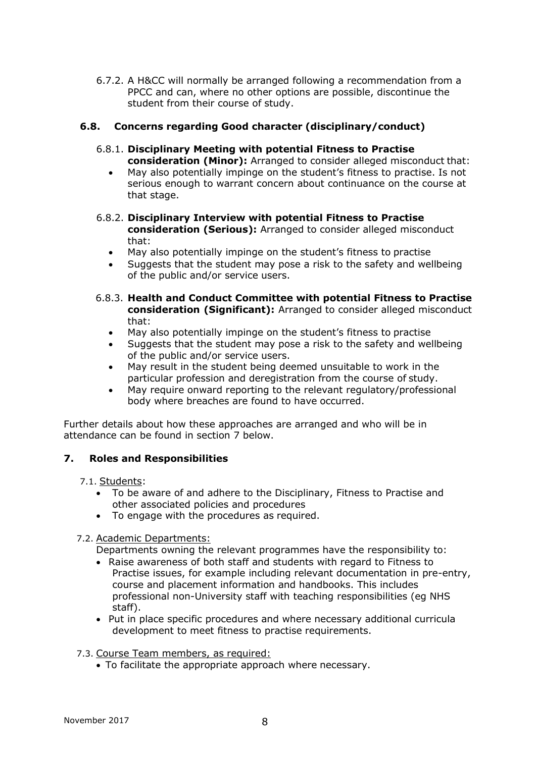6.7.2. A H&CC will normally be arranged following a recommendation from a PPCC and can, where no other options are possible, discontinue the student from their course of study.

#### **6.8. Concerns regarding Good character (disciplinary/conduct)**

- 6.8.1. **Disciplinary Meeting with potential Fitness to Practise consideration (Minor):** Arranged to consider alleged misconduct that:
	- May also potentially impinge on the student's fitness to practise. Is not serious enough to warrant concern about continuance on the course at that stage.
- 6.8.2. **Disciplinary Interview with potential Fitness to Practise consideration (Serious):** Arranged to consider alleged misconduct that:
	- May also potentially impinge on the student's fitness to practise
	- Suggests that the student may pose a risk to the safety and wellbeing of the public and/or service users.
- 6.8.3. **Health and Conduct Committee with potential Fitness to Practise consideration (Significant):** Arranged to consider alleged misconduct that:
	- May also potentially impinge on the student's fitness to practise
	- Suggests that the student may pose a risk to the safety and wellbeing of the public and/or service users.
	- May result in the student being deemed unsuitable to work in the particular profession and deregistration from the course of study.
	- May require onward reporting to the relevant regulatory/professional body where breaches are found to have occurred.

Further details about how these approaches are arranged and who will be in attendance can be found in section 7 below.

#### **7. Roles and Responsibilities**

- 7.1. Students:
	- To be aware of and adhere to the Disciplinary, Fitness to Practise and other associated policies and procedures
	- To engage with the procedures as required.

7.2. Academic Departments:

- Departments owning the relevant programmes have the responsibility to:
- Raise awareness of both staff and students with regard to Fitness to Practise issues, for example including relevant documentation in pre-entry, course and placement information and handbooks. This includes professional non-University staff with teaching responsibilities (eg NHS staff).
- Put in place specific procedures and where necessary additional curricula development to meet fitness to practise requirements.
- 7.3. Course Team members, as required:
	- To facilitate the appropriate approach where necessary.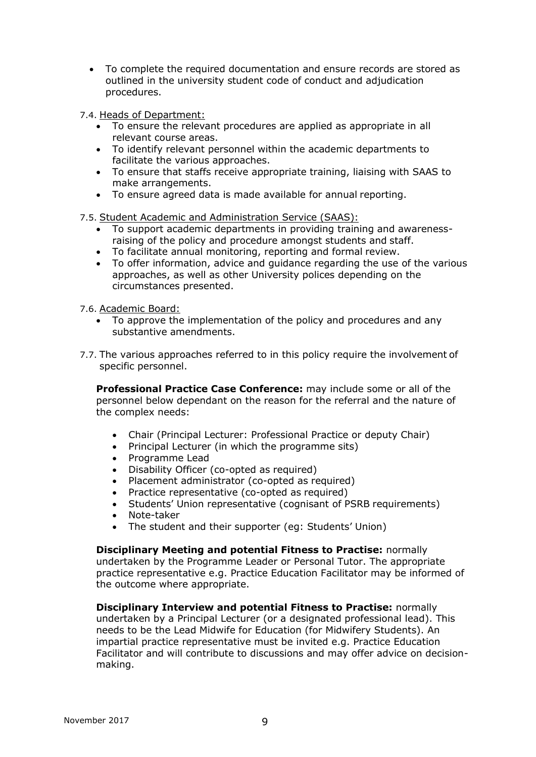- To complete the required documentation and ensure records are stored as outlined in the university student code of conduct and adjudication procedures.
- 7.4. Heads of Department:
	- To ensure the relevant procedures are applied as appropriate in all relevant course areas.
	- To identify relevant personnel within the academic departments to facilitate the various approaches.
	- To ensure that staffs receive appropriate training, liaising with SAAS to make arrangements.
	- To ensure agreed data is made available for annual reporting.

7.5. Student Academic and Administration Service (SAAS):

- To support academic departments in providing training and awarenessraising of the policy and procedure amongst students and staff.
- To facilitate annual monitoring, reporting and formal review.
- To offer information, advice and guidance regarding the use of the various approaches, as well as other University polices depending on the circumstances presented.

7.6. Academic Board:

- To approve the implementation of the policy and procedures and any substantive amendments.
- 7.7. The various approaches referred to in this policy require the involvement of specific personnel.

**Professional Practice Case Conference:** may include some or all of the personnel below dependant on the reason for the referral and the nature of the complex needs:

- Chair (Principal Lecturer: Professional Practice or deputy Chair)
- Principal Lecturer (in which the programme sits)
- Programme Lead
- Disability Officer (co-opted as required)
- Placement administrator (co-opted as required)
- Practice representative (co-opted as required)
- Students' Union representative (cognisant of PSRB requirements)
- Note-taker
- The student and their supporter (eg: Students' Union)

**Disciplinary Meeting and potential Fitness to Practise:** normally undertaken by the Programme Leader or Personal Tutor. The appropriate practice representative e.g. Practice Education Facilitator may be informed of the outcome where appropriate.

**Disciplinary Interview and potential Fitness to Practise:** normally undertaken by a Principal Lecturer (or a designated professional lead). This needs to be the Lead Midwife for Education (for Midwifery Students). An impartial practice representative must be invited e.g. Practice Education Facilitator and will contribute to discussions and may offer advice on decisionmaking.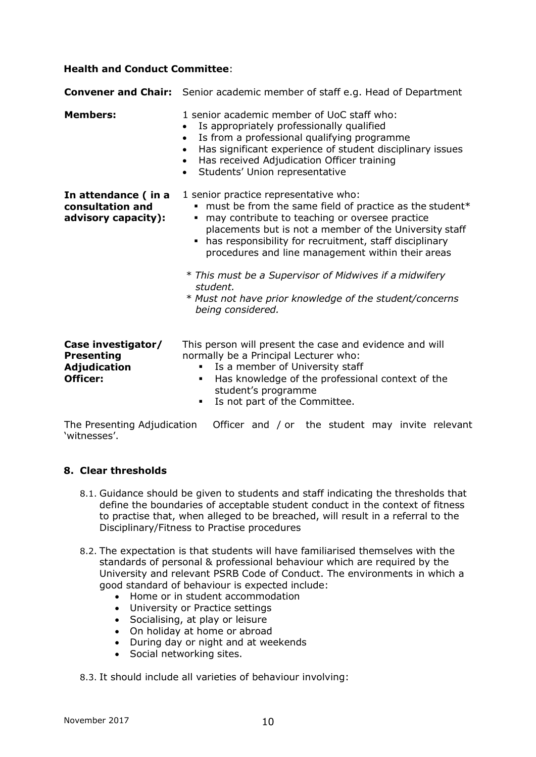#### **Health and Conduct Committee**:

|                                                                     | <b>Convener and Chair:</b> Senior academic member of staff e.g. Head of Department                                                                                                                                                                                                                                                                                                                                                                                                            |  |
|---------------------------------------------------------------------|-----------------------------------------------------------------------------------------------------------------------------------------------------------------------------------------------------------------------------------------------------------------------------------------------------------------------------------------------------------------------------------------------------------------------------------------------------------------------------------------------|--|
| <b>Members:</b>                                                     | 1 senior academic member of UoC staff who:<br>Is appropriately professionally qualified<br>Is from a professional qualifying programme<br>$\bullet$<br>Has significant experience of student disciplinary issues<br>$\bullet$<br>Has received Adjudication Officer training<br>$\bullet$<br>Students' Union representative<br>$\bullet$                                                                                                                                                       |  |
| In attendance (in a<br>consultation and<br>advisory capacity):      | 1 senior practice representative who:<br>" must be from the same field of practice as the student*<br>may contribute to teaching or oversee practice<br>٠<br>placements but is not a member of the University staff<br>has responsibility for recruitment, staff disciplinary<br>٠<br>procedures and line management within their areas<br>* This must be a Supervisor of Midwives if a midwifery<br>student.<br>* Must not have prior knowledge of the student/concerns<br>being considered. |  |
| Case investigator/<br><b>Presenting</b><br>Adjudication<br>Officer: | This person will present the case and evidence and will<br>normally be a Principal Lecturer who:<br>Is a member of University staff<br>Has knowledge of the professional context of the<br>٠<br>student's programme<br>Is not part of the Committee.                                                                                                                                                                                                                                          |  |

The Presenting Adjudication Officer and / or the student may invite relevant 'witnesses'.

#### **8. Clear thresholds**

- 8.1. Guidance should be given to students and staff indicating the thresholds that define the boundaries of acceptable student conduct in the context of fitness to practise that, when alleged to be breached, will result in a referral to the Disciplinary/Fitness to Practise procedures
- 8.2. The expectation is that students will have familiarised themselves with the standards of personal & professional behaviour which are required by the University and relevant PSRB Code of Conduct. The environments in which a good standard of behaviour is expected include:
	- Home or in student accommodation
	- University or Practice settings
	- Socialising, at play or leisure
	- On holiday at home or abroad
	- During day or night and at weekends
	- Social networking sites.

8.3. It should include all varieties of behaviour involving: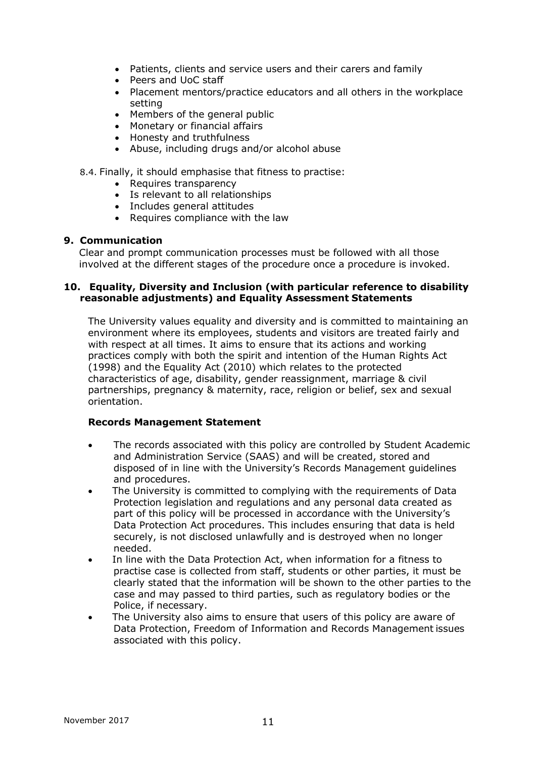- Patients, clients and service users and their carers and family
- Peers and UoC staff
- Placement mentors/practice educators and all others in the workplace setting
- Members of the general public
- Monetary or financial affairs
- Honesty and truthfulness
- Abuse, including drugs and/or alcohol abuse

#### 8.4. Finally, it should emphasise that fitness to practise:

- Requires transparency
- Is relevant to all relationships
- Includes general attitudes
- Requires compliance with the law

#### **9. Communication**

Clear and prompt communication processes must be followed with all those involved at the different stages of the procedure once a procedure is invoked.

#### **10. Equality, Diversity and Inclusion (with particular reference to disability reasonable adjustments) and Equality Assessment Statements**

The University values equality and diversity and is committed to maintaining an environment where its employees, students and visitors are treated fairly and with respect at all times. It aims to ensure that its actions and working practices comply with both the spirit and intention of the Human Rights Act (1998) and the Equality Act (2010) which relates to the protected characteristics of age, disability, gender reassignment, marriage & civil partnerships, pregnancy & maternity, race, religion or belief, sex and sexual orientation.

#### **Records Management Statement**

- The records associated with this policy are controlled by Student Academic and Administration Service (SAAS) and will be created, stored and disposed of in line with the University's Records Management guidelines and procedures.
- The University is committed to complying with the requirements of Data Protection legislation and regulations and any personal data created as part of this policy will be processed in accordance with the University's Data Protection Act procedures. This includes ensuring that data is held securely, is not disclosed unlawfully and is destroyed when no longer needed.
- In line with the Data Protection Act, when information for a fitness to practise case is collected from staff, students or other parties, it must be clearly stated that the information will be shown to the other parties to the case and may passed to third parties, such as regulatory bodies or the Police, if necessary.
- The University also aims to ensure that users of this policy are aware of Data Protection, Freedom of Information and Records Management issues associated with this policy.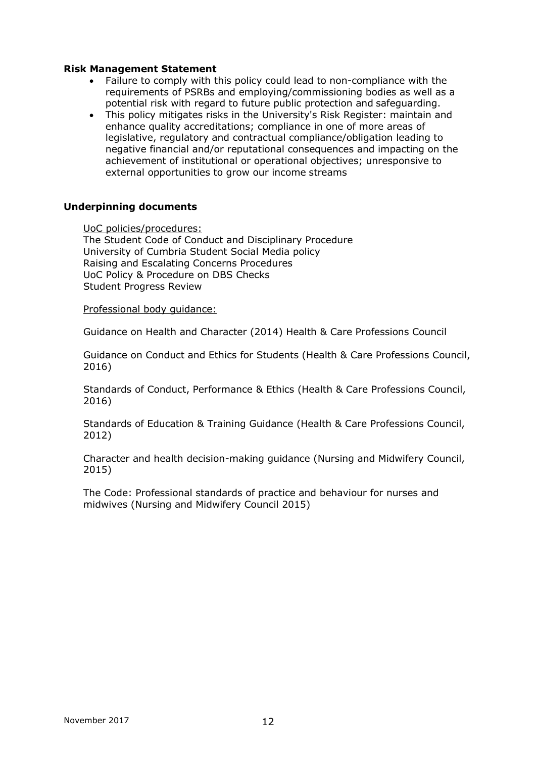#### **Risk Management Statement**

- Failure to comply with this policy could lead to non-compliance with the requirements of PSRBs and employing/commissioning bodies as well as a potential risk with regard to future public protection and safeguarding.
- This policy mitigates risks in the University's Risk Register: maintain and enhance quality accreditations; compliance in one of more areas of legislative, regulatory and contractual compliance/obligation leading to negative financial and/or reputational consequences and impacting on the achievement of institutional or operational objectives; unresponsive to external opportunities to grow our income streams

#### **Underpinning documents**

UoC policies/procedures:

The Student Code of Conduct and Disciplinary Procedure University of Cumbria Student Social Media policy Raising and Escalating Concerns Procedures UoC Policy & Procedure on DBS Checks Student Progress Review

Professional body guidance:

Guidance on Health and Character (2014) Health & Care Professions Council

Guidance on Conduct and Ethics for Students (Health & Care Professions Council, 2016)

Standards of Conduct, Performance & Ethics (Health & Care Professions Council, 2016)

Standards of Education & Training Guidance (Health & Care Professions Council, 2012)

Character and health decision-making guidance (Nursing and Midwifery Council, 2015)

The Code: Professional standards of practice and behaviour for nurses and midwives (Nursing and Midwifery Council 2015)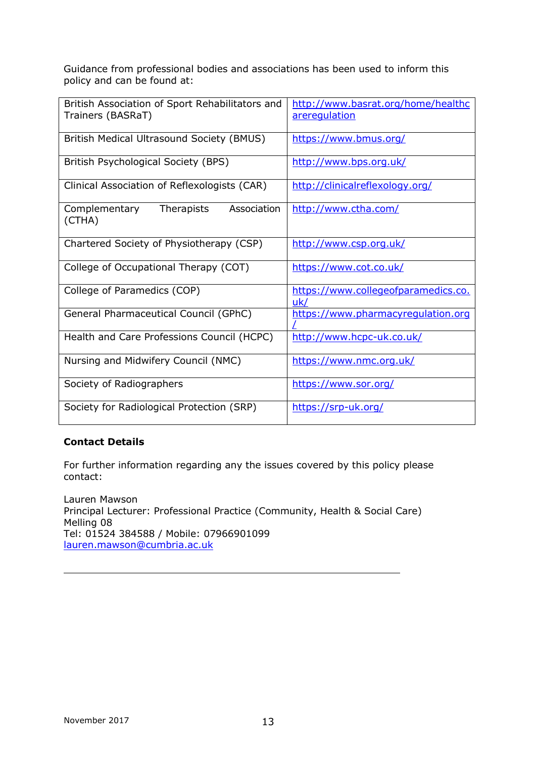Guidance from professional bodies and associations has been used to inform this policy and can be found at:

| British Association of Sport Rehabilitators and<br>Trainers (BASRaT) | http://www.basrat.org/home/healthc<br>areregulation |  |
|----------------------------------------------------------------------|-----------------------------------------------------|--|
| British Medical Ultrasound Society (BMUS)                            | https://www.bmus.org/                               |  |
| British Psychological Society (BPS)                                  | http://www.bps.org.uk/                              |  |
| Clinical Association of Reflexologists (CAR)                         | http://clinicalreflexology.org/                     |  |
| Therapists<br>Association<br>Complementary<br>(CTHA)                 | http://www.ctha.com/                                |  |
| Chartered Society of Physiotherapy (CSP)                             | http://www.csp.org.uk/                              |  |
| College of Occupational Therapy (COT)                                | https://www.cot.co.uk/                              |  |
| College of Paramedics (COP)                                          | https://www.collegeofparamedics.co.<br>uk/          |  |
| General Pharmaceutical Council (GPhC)                                | https://www.pharmacyregulation.org                  |  |
| Health and Care Professions Council (HCPC)                           | http://www.hcpc-uk.co.uk/                           |  |
| Nursing and Midwifery Council (NMC)                                  | https://www.nmc.org.uk/                             |  |
| Society of Radiographers                                             | https://www.sor.org/                                |  |
| Society for Radiological Protection (SRP)                            | https://srp-uk.org/                                 |  |

# **Contact Details**

For further information regarding any the issues covered by this policy please contact:

Lauren Mawson Principal Lecturer: Professional Practice (Community, Health & Social Care) Melling 08 Tel: 01524 384588 / Mobile: 07966901099 [lauren.mawson@cumbria.ac.uk](mailto:lauren.mawson@cumbria.ac.uk)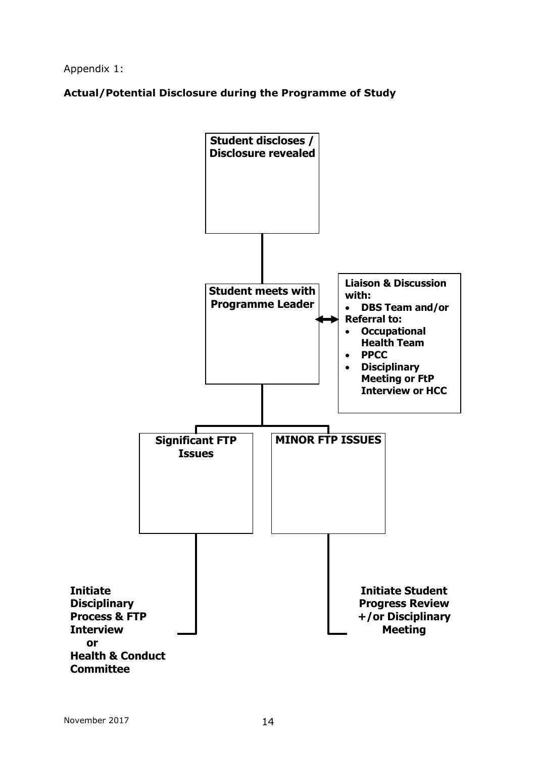Appendix 1:

**Actual/Potential Disclosure during the Programme of Study**

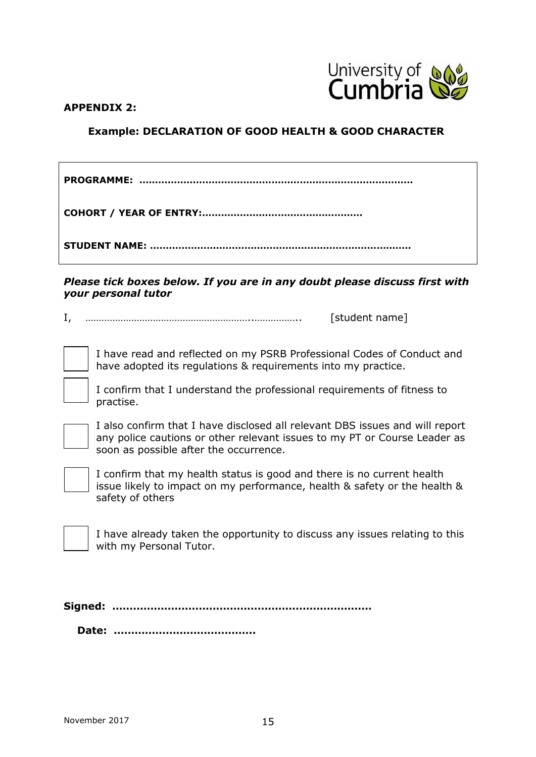

#### **APPENDIX 2:**

# **Example: DECLARATION OF GOOD HEALTH & GOOD CHARACTER**

**PROGRAMME: …………………………………………………………………………… COHORT / YEAR OF ENTRY:……………………………………………**

**STUDENT NAME: ………………………………………………………………………..**

*Please tick boxes below. If you are in any doubt please discuss first with your personal tutor*

I, ……………………………………………………..…………….. [student name]

I have read and reflected on my PSRB Professional Codes of Conduct and have adopted its regulations & requirements into my practice.



I confirm that I understand the professional requirements of fitness to practise.



I also confirm that I have disclosed all relevant DBS issues and will report any police cautions or other relevant issues to my PT or Course Leader as soon as possible after the occurrence.



I confirm that my health status is good and there is no current health issue likely to impact on my performance, health & safety or the health & safety of others

I have already taken the opportunity to discuss any issues relating to this with my Personal Tutor.

**Signed: …………………………………………………………………**

**Date: …………………………………..**